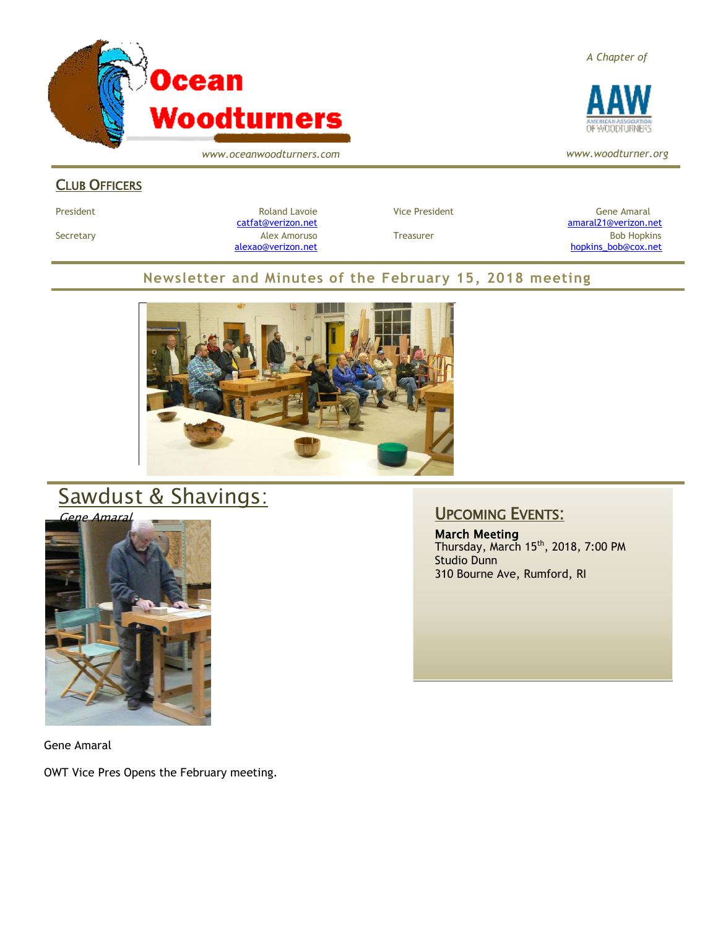

*www.oceanwoodturners.com*

### CLUB OFFICERS

[alexao@verizon.net](mailto:alexao@verizon.net) [hopkins\\_bob@cox.net](mailto:hopkins_bob@cox.net)

#### **Newsletter and Minutes of the February 15, 2018 meeting**



# Sawdust & Shavings:



Gene Amaral

OWT Vice Pres Opens the February meeting.

### UPCOMING EVENTS:

March Meeting Thursday, March 15<sup>th</sup>, 2018, 7:00 PM Studio Dunn 310 Bourne Ave, Rumford, RI

#### *A Chapter of*



*www.woodturner.org*

President Chronical Communication Chronical Roland Lavoie Chronic Vice President Chronic Chronic Gene Amaral [catfat@verizon.net](file:///C:/Users/OTEC/Desktop/OW/catfat@verizon.net) [amaral21@verizon.net](mailto:amaral21@verizon.net)

Secretary Alex Amoruso Treasurer Bob Hopkins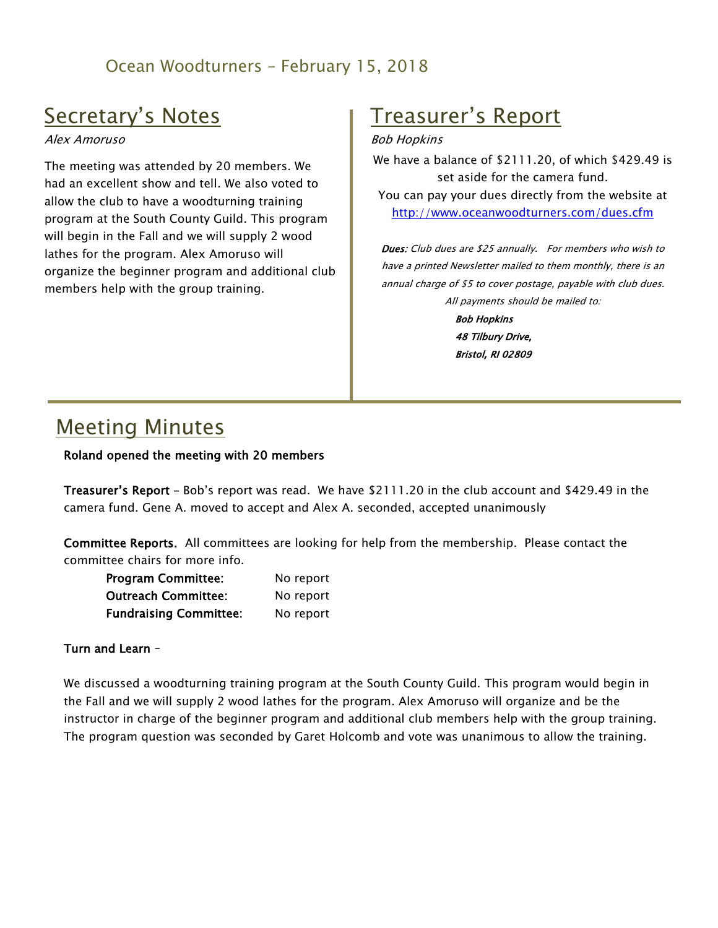### Ocean Woodturners – February 15, 2018

## Secretary's Notes

Alex Amoruso

The meeting was attended by 20 members. We had an excellent show and tell. We also voted to allow the club to have a woodturning training program at the South County Guild. This program will begin in the Fall and we will supply 2 wood lathes for the program. Alex Amoruso will organize the beginner program and additional club members help with the group training.

## Treasurer's Report

#### Bob Hopkins

We have a balance of \$2111.20, of which \$429.49 is set aside for the camera fund. You can pay your dues directly from the website at <http://www.oceanwoodturners.com/dues.cfm>

Dues: Club dues are \$25 annually. For members who wish to have a printed Newsletter mailed to them monthly, there is an annual charge of \$5 to cover postage, payable with club dues. All payments should be mailed to: Bob Hopkins

48 Tilbury Drive, Bristol, RI 02809

## Meeting Minutes

#### Roland opened the meeting with 20 members

Treasurer's Report – Bob's report was read. We have \$2111.20 in the club account and \$429.49 in the camera fund. Gene A. moved to accept and Alex A. seconded, accepted unanimously

Committee Reports. All committees are looking for help from the membership. Please contact the committee chairs for more info.

| <b>Program Committee:</b>     | No report |
|-------------------------------|-----------|
| <b>Outreach Committee:</b>    | No report |
| <b>Fundraising Committee:</b> | No report |

#### Turn and Learn –

We discussed a woodturning training program at the South County Guild. This program would begin in the Fall and we will supply 2 wood lathes for the program. Alex Amoruso will organize and be the instructor in charge of the beginner program and additional club members help with the group training. The program question was seconded by Garet Holcomb and vote was unanimous to allow the training.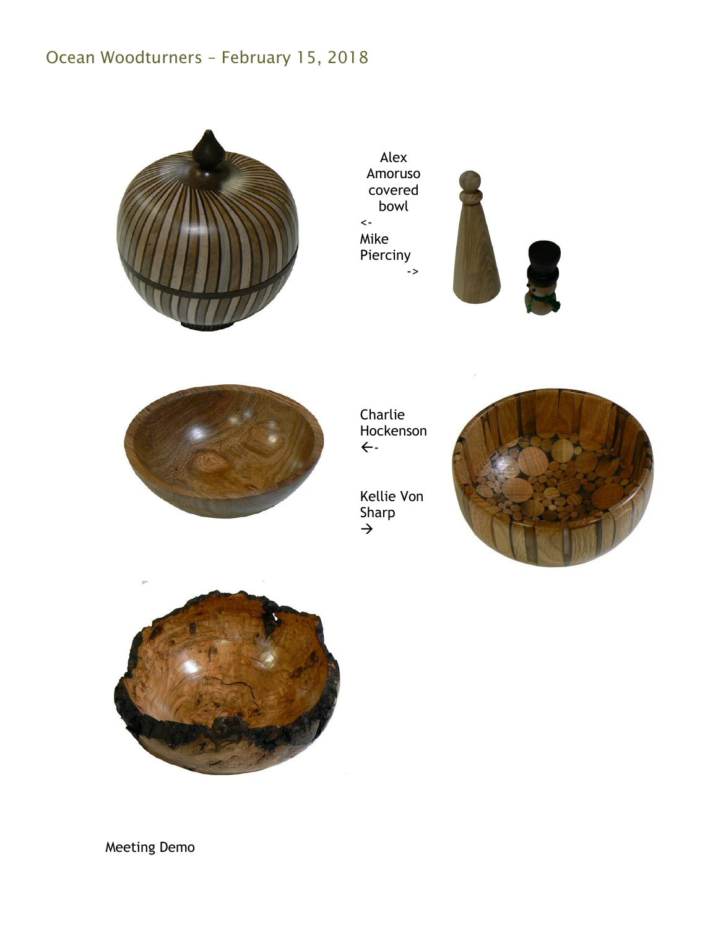## Ocean Woodturners – February 15, 2018



Alex Amoruso covered bowl  $\left\langle \cdot \right\rangle$ Mike Pierciny ->





Charlie Hockenson  $\leftarrow$ 

Kellie Von Sharp  $\rightarrow$ 





Meeting Demo